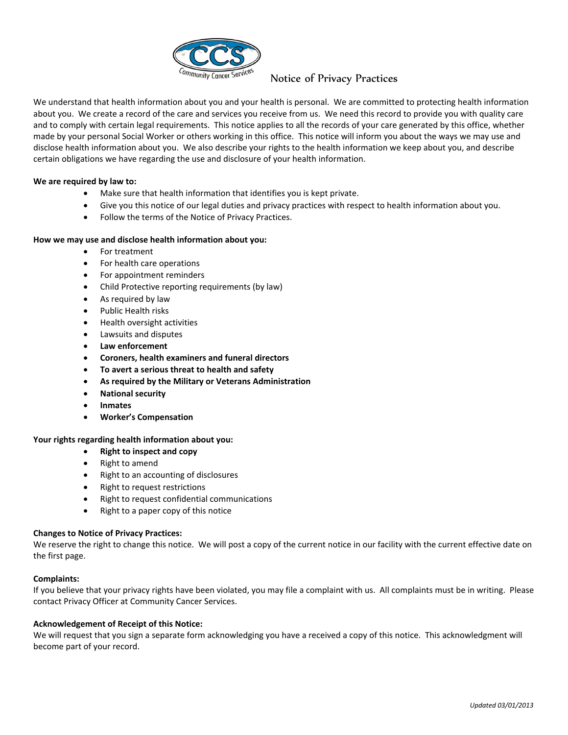

## Notice of Privacy Practices

We understand that health information about you and your health is personal. We are committed to protecting health information about you. We create a record of the care and services you receive from us. We need this record to provide you with quality care and to comply with certain legal requirements. This notice applies to all the records of your care generated by this office, whether made by your personal Social Worker or others working in this office. This notice will inform you about the ways we may use and disclose health information about you. We also describe your rights to the health information we keep about you, and describe certain obligations we have regarding the use and disclosure of your health information.

#### **We are required by law to:**

- Make sure that health information that identifies you is kept private.
- Give you this notice of our legal duties and privacy practices with respect to health information about you.
- Follow the terms of the Notice of Privacy Practices.

#### **How we may use and disclose health information about you:**

- For treatment
- For health care operations
- For appointment reminders
- Child Protective reporting requirements (by law)
- As required by law
- Public Health risks
- Health oversight activities
- Lawsuits and disputes
- **Law enforcement**
- **Coroners, health examiners and funeral directors**
- **To avert a serious threat to health and safety**
- **As required by the Military or Veterans Administration**
- **National security**
- **Inmates**
- **Worker's Compensation**

#### **Your rights regarding health information about you:**

- **Right to inspect and copy**
- Right to amend
- Right to an accounting of disclosures
- Right to request restrictions
- Right to request confidential communications
- Right to a paper copy of this notice

#### **Changes to Notice of Privacy Practices:**

We reserve the right to change this notice. We will post a copy of the current notice in our facility with the current effective date on the first page.

#### **Complaints:**

If you believe that your privacy rights have been violated, you may file a complaint with us. All complaints must be in writing. Please contact Privacy Officer at Community Cancer Services.

#### **Acknowledgement of Receipt of this Notice:**

We will request that you sign a separate form acknowledging you have a received a copy of this notice. This acknowledgment will become part of your record.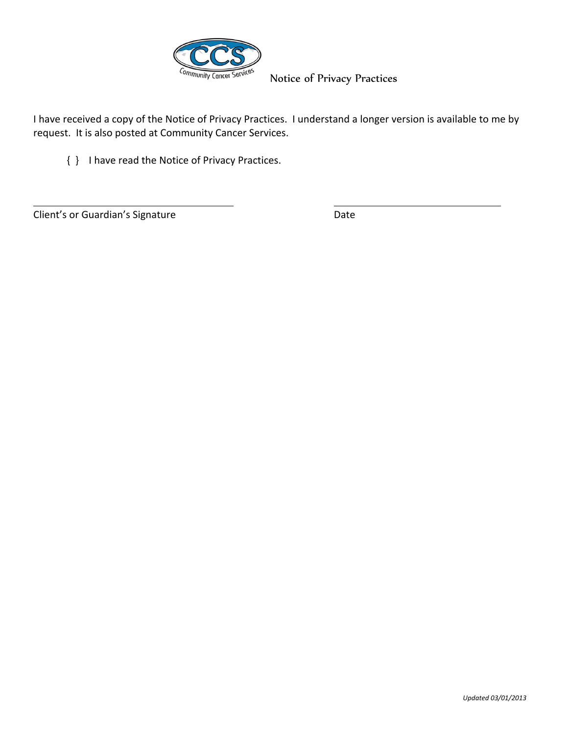

Notice of Privacy Practices

I have received a copy of the Notice of Privacy Practices. I understand a longer version is available to me by request. It is also posted at Community Cancer Services.

{ } I have read the Notice of Privacy Practices.

Client's or Guardian's Signature Date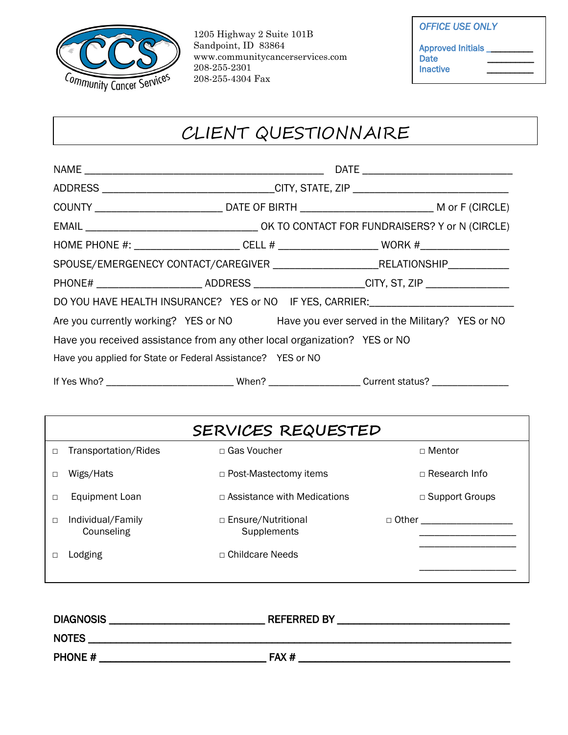

1205 Highway 2 Suite 101B Sandpoint, ID 83864 www.communitycancerservices.com 208-255-2301 208-255-4304 Fax

| <b>OFFICE USE ONLY</b>                         |  |
|------------------------------------------------|--|
| Approved Initials _<br><b>Date</b><br>Inactive |  |

# CLIENT QUESTIONNAIRE

|                                                                           | ADDRESS _________________________________CITY, STATE, ZIP ______________________ |                                                                                                      |
|---------------------------------------------------------------------------|----------------------------------------------------------------------------------|------------------------------------------------------------------------------------------------------|
|                                                                           |                                                                                  |                                                                                                      |
|                                                                           |                                                                                  |                                                                                                      |
|                                                                           |                                                                                  | HOME PHONE #: ________________________CELL # ______________________________WORK #___________________ |
|                                                                           |                                                                                  | SPOUSE/EMERGENECY CONTACT/CAREGIVER _______________________________RELATIONSHIP_______________       |
|                                                                           |                                                                                  | PHONE# __________________________ADDRESS ______________________CITY, ST, ZIP ______________________  |
|                                                                           |                                                                                  | DO YOU HAVE HEALTH INSURANCE? YES or NO IF YES, CARRIER: _______________________                     |
|                                                                           |                                                                                  | Are you currently working? YES or NO Have you ever served in the Military? YES or NO                 |
| Have you received assistance from any other local organization? YES or NO |                                                                                  |                                                                                                      |
| Have you applied for State or Federal Assistance? YES or NO               |                                                                                  |                                                                                                      |
|                                                                           |                                                                                  |                                                                                                      |

| SERVICES REQUESTED |                                 |                                     |                       |
|--------------------|---------------------------------|-------------------------------------|-----------------------|
| $\Box$             | Transportation/Rides            | □ Gas Voucher                       | □ Mentor              |
| □                  | Wigs/Hats                       | □ Post-Mastectomy items             | $\Box$ Research Info  |
| □                  | <b>Equipment Loan</b>           | $\Box$ Assistance with Medications  | $\Box$ Support Groups |
| □                  | Individual/Family<br>Counseling | □ Ensure/Nutritional<br>Supplements | □ Other               |
|                    | Lodging                         | $\Box$ Childcare Needs              |                       |
|                    |                                 |                                     |                       |

| <b>DIAGNOSIS</b> | <b>REFERRED BY</b> |
|------------------|--------------------|
| <b>NOTES</b>     |                    |
| <b>PHONE #</b>   | FAX#               |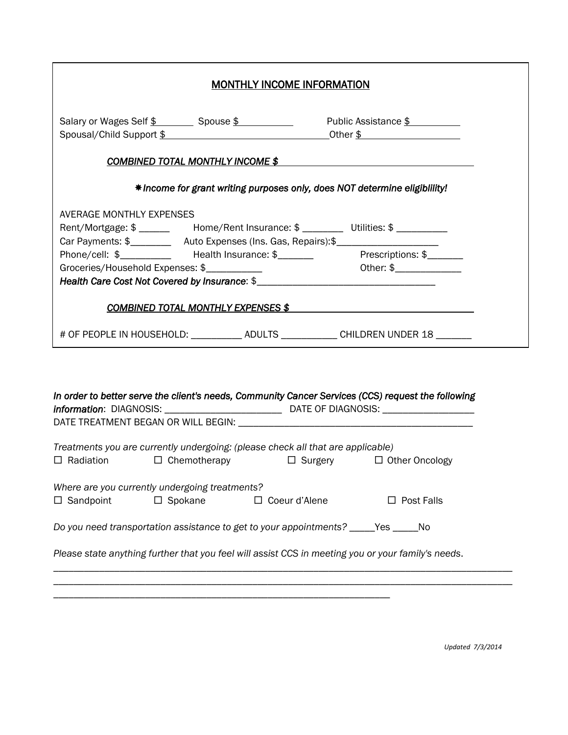|                                                                                                                                                                                                             | <b>MONTHLY INCOME INFORMATION</b>                                                                           |
|-------------------------------------------------------------------------------------------------------------------------------------------------------------------------------------------------------------|-------------------------------------------------------------------------------------------------------------|
|                                                                                                                                                                                                             | Salary or Wages Self \$ _________ Spouse \$ ______________ Public Assistance \$<br>Spousal/Child Support \$ |
|                                                                                                                                                                                                             | <b>COMBINED TOTAL MONTHLY INCOME \$</b>                                                                     |
|                                                                                                                                                                                                             | * Income for grant writing purposes only, does NOT determine eligibiliity!                                  |
| AVERAGE MONTHLY EXPENSES<br>Rent/Mortgage: \$ _______ Home/Rent Insurance: \$ ________ Utilities: \$ _________<br>Car Payments: \$_____________ Auto Expenses (Ins. Gas, Repairs): \$______________________ | Phone/cell: \$____________ Health Insurance: \$________ Prescriptions: \$______                             |
|                                                                                                                                                                                                             | COMBINED TOTAL MONTHLY EXPENSES \$                                                                          |
|                                                                                                                                                                                                             | # OF PEOPLE IN HOUSEHOLD: ___________ ADULTS ___________ CHILDREN UNDER 18 ______                           |
|                                                                                                                                                                                                             | In order to better serve the client's needs, Community Cancer Services (CCS) request the following          |
| Treatments you are currently undergoing: (please check all that are applicable)<br>$\Box$ Radiation<br>$\Box$ Chemotherapy                                                                                  | $\Box$ Surgery $\Box$ Other Oncology                                                                        |
| Where are you currently undergoing treatments?<br>$\Box$ Sandpoint<br>$\Box$ Spokane                                                                                                                        | $\Box$ Coeur d'Alene<br>$\Box$ Post Falls                                                                   |
| Do you need transportation assistance to get to your appointments? _____Yes _____No                                                                                                                         |                                                                                                             |
| Please state anything further that you feel will assist CCS in meeting you or your family's needs.                                                                                                          |                                                                                                             |

\_\_\_\_\_\_\_\_\_\_\_\_\_\_\_\_\_\_\_\_\_\_\_\_\_\_\_\_\_\_\_\_\_\_\_\_\_\_\_\_\_\_\_\_\_\_\_\_\_\_\_\_\_\_\_\_\_\_\_\_\_\_\_\_\_\_\_\_\_\_\_\_\_\_\_\_\_\_\_\_\_\_\_\_\_\_\_\_\_\_

\_\_\_\_\_\_\_\_\_\_\_\_\_\_\_\_\_\_\_\_\_\_\_\_\_\_\_\_\_\_\_\_\_\_\_\_\_\_\_\_\_\_\_\_\_\_\_\_\_\_\_\_\_\_\_\_\_\_\_\_\_\_\_\_\_\_

*Updated 7/3/2014*